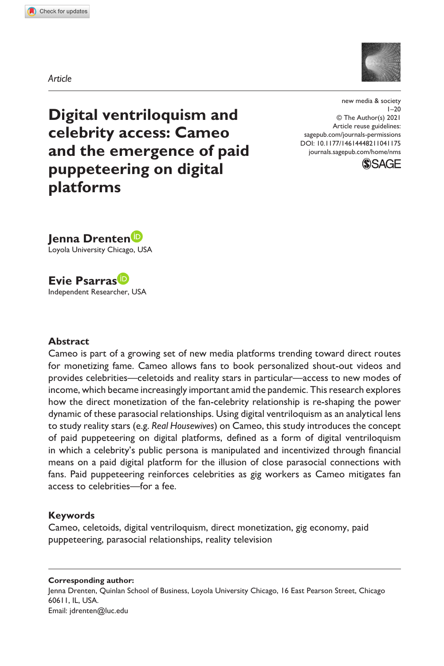**1041[175](http://crossmark.crossref.org/dialog/?doi=10.1177%2F14614448211041175&domain=pdf&date_stamp=2021-09-03)** NMS0010.1177/14614448211041175new media & society**Drenten et al.**



*Article*

**Digital ventriloquism and celebrity access: Cameo and the emergence of paid puppeteering on digital platforms**

https://doi.org/10.1177/14614448211041175 DOI: 10.1177/14614448211041175 new media & society  $1 - 20$ © The Author(s) 2021 Article reuse guidelines: [sagepub.com/journals-permissions](https://uk.sagepub.com/en-gb/journals-permissions) [journals.sagepub.com/home/nms](https://journals.sagepub.com/home/nms)





Loyola University Chicago, USA



Independent Researcher, USA

## **Abstract**

Cameo is part of a growing set of new media platforms trending toward direct routes for monetizing fame. Cameo allows fans to book personalized shout-out videos and provides celebrities—celetoids and reality stars in particular—access to new modes of income, which became increasingly important amid the pandemic. This research explores how the direct monetization of the fan-celebrity relationship is re-shaping the power dynamic of these parasocial relationships. Using digital ventriloquism as an analytical lens to study reality stars (e.g. *Real Housewives*) on Cameo, this study introduces the concept of paid puppeteering on digital platforms, defined as a form of digital ventriloquism in which a celebrity's public persona is manipulated and incentivized through financial means on a paid digital platform for the illusion of close parasocial connections with fans. Paid puppeteering reinforces celebrities as gig workers as Cameo mitigates fan access to celebrities—for a fee.

## **Keywords**

Cameo, celetoids, digital ventriloquism, direct monetization, gig economy, paid puppeteering, parasocial relationships, reality television

**Corresponding author:** Jenna Drenten, Quinlan School of Business, Loyola University Chicago, 16 East Pearson Street, Chicago 60611, IL, USA. Email: [jdrenten@luc.edu](mailto:jdrenten@luc.edu)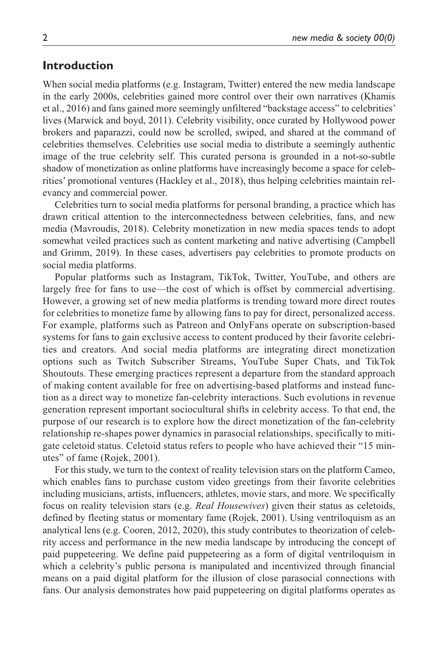## **Introduction**

When social media platforms (e.g. Instagram, Twitter) entered the new media landscape in the early 2000s, celebrities gained more control over their own narratives (Khamis et al., 2016) and fans gained more seemingly unfiltered "backstage access" to celebrities' lives (Marwick and boyd, 2011). Celebrity visibility, once curated by Hollywood power brokers and paparazzi, could now be scrolled, swiped, and shared at the command of celebrities themselves. Celebrities use social media to distribute a seemingly authentic image of the true celebrity self. This curated persona is grounded in a not-so-subtle shadow of monetization as online platforms have increasingly become a space for celebrities' promotional ventures (Hackley et al., 2018), thus helping celebrities maintain relevancy and commercial power.

Celebrities turn to social media platforms for personal branding, a practice which has drawn critical attention to the interconnectedness between celebrities, fans, and new media (Mavroudis, 2018). Celebrity monetization in new media spaces tends to adopt somewhat veiled practices such as content marketing and native advertising (Campbell and Grimm, 2019). In these cases, advertisers pay celebrities to promote products on social media platforms.

Popular platforms such as Instagram, TikTok, Twitter, YouTube, and others are largely free for fans to use—the cost of which is offset by commercial advertising. However, a growing set of new media platforms is trending toward more direct routes for celebrities to monetize fame by allowing fans to pay for direct, personalized access. For example, platforms such as Patreon and OnlyFans operate on subscription-based systems for fans to gain exclusive access to content produced by their favorite celebrities and creators. And social media platforms are integrating direct monetization options such as Twitch Subscriber Streams, YouTube Super Chats, and TikTok Shoutouts. These emerging practices represent a departure from the standard approach of making content available for free on advertising-based platforms and instead function as a direct way to monetize fan-celebrity interactions. Such evolutions in revenue generation represent important sociocultural shifts in celebrity access. To that end, the purpose of our research is to explore how the direct monetization of the fan-celebrity relationship re-shapes power dynamics in parasocial relationships, specifically to mitigate celetoid status. Celetoid status refers to people who have achieved their "15 minutes" of fame (Rojek, 2001).

For this study, we turn to the context of reality television stars on the platform Cameo, which enables fans to purchase custom video greetings from their favorite celebrities including musicians, artists, influencers, athletes, movie stars, and more. We specifically focus on reality television stars (e.g. *Real Housewives*) given their status as celetoids, defined by fleeting status or momentary fame (Rojek, 2001). Using ventriloquism as an analytical lens (e.g. Cooren, 2012, 2020), this study contributes to theorization of celebrity access and performance in the new media landscape by introducing the concept of paid puppeteering. We define paid puppeteering as a form of digital ventriloquism in which a celebrity's public persona is manipulated and incentivized through financial means on a paid digital platform for the illusion of close parasocial connections with fans. Our analysis demonstrates how paid puppeteering on digital platforms operates as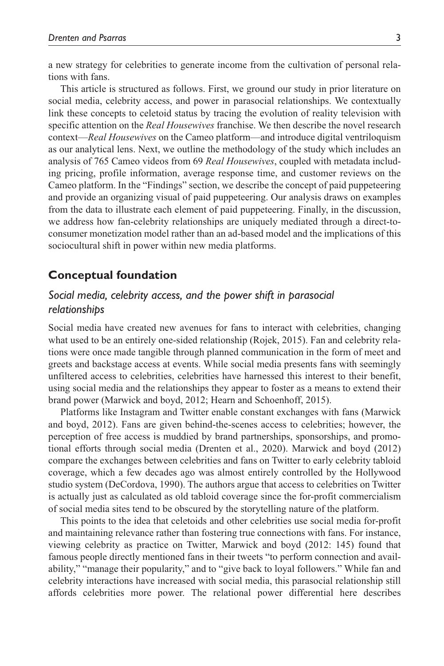a new strategy for celebrities to generate income from the cultivation of personal relations with fans.

This article is structured as follows. First, we ground our study in prior literature on social media, celebrity access, and power in parasocial relationships. We contextually link these concepts to celetoid status by tracing the evolution of reality television with specific attention on the *Real Housewives* franchise. We then describe the novel research context—*Real Housewives* on the Cameo platform—and introduce digital ventriloquism as our analytical lens. Next, we outline the methodology of the study which includes an analysis of 765 Cameo videos from 69 *Real Housewives*, coupled with metadata including pricing, profile information, average response time, and customer reviews on the Cameo platform. In the "Findings" section, we describe the concept of paid puppeteering and provide an organizing visual of paid puppeteering. Our analysis draws on examples from the data to illustrate each element of paid puppeteering. Finally, in the discussion, we address how fan-celebrity relationships are uniquely mediated through a direct-toconsumer monetization model rather than an ad-based model and the implications of this sociocultural shift in power within new media platforms.

## **Conceptual foundation**

# *Social media, celebrity access, and the power shift in parasocial relationships*

Social media have created new avenues for fans to interact with celebrities, changing what used to be an entirely one-sided relationship (Rojek, 2015). Fan and celebrity relations were once made tangible through planned communication in the form of meet and greets and backstage access at events. While social media presents fans with seemingly unfiltered access to celebrities, celebrities have harnessed this interest to their benefit, using social media and the relationships they appear to foster as a means to extend their brand power (Marwick and boyd, 2012; Hearn and Schoenhoff, 2015).

Platforms like Instagram and Twitter enable constant exchanges with fans (Marwick and boyd, 2012). Fans are given behind-the-scenes access to celebrities; however, the perception of free access is muddied by brand partnerships, sponsorships, and promotional efforts through social media (Drenten et al., 2020). Marwick and boyd (2012) compare the exchanges between celebrities and fans on Twitter to early celebrity tabloid coverage, which a few decades ago was almost entirely controlled by the Hollywood studio system (DeCordova, 1990). The authors argue that access to celebrities on Twitter is actually just as calculated as old tabloid coverage since the for-profit commercialism of social media sites tend to be obscured by the storytelling nature of the platform.

This points to the idea that celetoids and other celebrities use social media for-profit and maintaining relevance rather than fostering true connections with fans. For instance, viewing celebrity as practice on Twitter, Marwick and boyd (2012: 145) found that famous people directly mentioned fans in their tweets "to perform connection and availability," "manage their popularity," and to "give back to loyal followers." While fan and celebrity interactions have increased with social media, this parasocial relationship still affords celebrities more power. The relational power differential here describes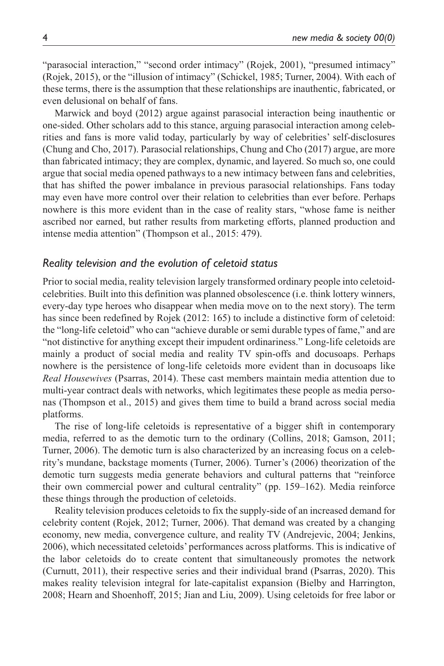"parasocial interaction," "second order intimacy" (Rojek, 2001), "presumed intimacy" (Rojek, 2015), or the "illusion of intimacy" (Schickel, 1985; Turner, 2004). With each of these terms, there is the assumption that these relationships are inauthentic, fabricated, or even delusional on behalf of fans.

Marwick and boyd (2012) argue against parasocial interaction being inauthentic or one-sided. Other scholars add to this stance, arguing parasocial interaction among celebrities and fans is more valid today, particularly by way of celebrities' self-disclosures (Chung and Cho, 2017). Parasocial relationships, Chung and Cho (2017) argue, are more than fabricated intimacy; they are complex, dynamic, and layered. So much so, one could argue that social media opened pathways to a new intimacy between fans and celebrities, that has shifted the power imbalance in previous parasocial relationships. Fans today may even have more control over their relation to celebrities than ever before. Perhaps nowhere is this more evident than in the case of reality stars, "whose fame is neither ascribed nor earned, but rather results from marketing efforts, planned production and intense media attention" (Thompson et al., 2015: 479).

### *Reality television and the evolution of celetoid status*

Prior to social media, reality television largely transformed ordinary people into celetoidcelebrities. Built into this definition was planned obsolescence (i.e. think lottery winners, every-day type heroes who disappear when media move on to the next story). The term has since been redefined by Rojek (2012: 165) to include a distinctive form of celetoid: the "long-life celetoid" who can "achieve durable or semi durable types of fame," and are "not distinctive for anything except their impudent ordinariness." Long-life celetoids are mainly a product of social media and reality TV spin-offs and docusoaps. Perhaps nowhere is the persistence of long-life celetoids more evident than in docusoaps like *Real Housewives* (Psarras, 2014). These cast members maintain media attention due to multi-year contract deals with networks, which legitimates these people as media personas (Thompson et al., 2015) and gives them time to build a brand across social media platforms.

The rise of long-life celetoids is representative of a bigger shift in contemporary media, referred to as the demotic turn to the ordinary (Collins, 2018; Gamson, 2011; Turner, 2006). The demotic turn is also characterized by an increasing focus on a celebrity's mundane, backstage moments (Turner, 2006). Turner's (2006) theorization of the demotic turn suggests media generate behaviors and cultural patterns that "reinforce their own commercial power and cultural centrality" (pp. 159–162). Media reinforce these things through the production of celetoids.

Reality television produces celetoids to fix the supply-side of an increased demand for celebrity content (Rojek, 2012; Turner, 2006). That demand was created by a changing economy, new media, convergence culture, and reality TV (Andrejevic, 2004; Jenkins, 2006), which necessitated celetoids' performances across platforms. This is indicative of the labor celetoids do to create content that simultaneously promotes the network (Curnutt, 2011), their respective series and their individual brand (Psarras, 2020). This makes reality television integral for late-capitalist expansion (Bielby and Harrington, 2008; Hearn and Shoenhoff, 2015; Jian and Liu, 2009). Using celetoids for free labor or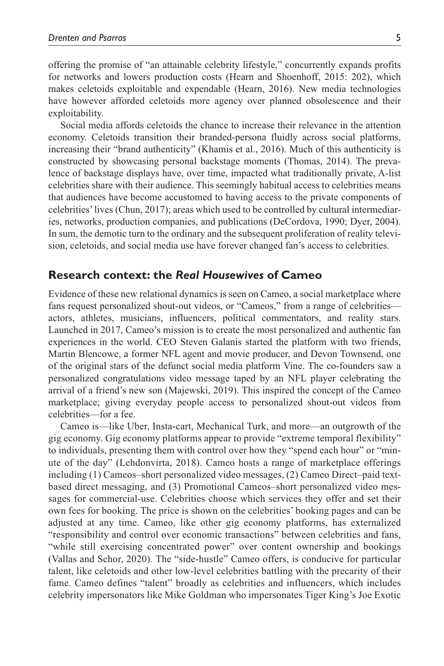offering the promise of "an attainable celebrity lifestyle," concurrently expands profits for networks and lowers production costs (Hearn and Shoenhoff, 2015: 202), which makes celetoids exploitable and expendable (Hearn, 2016). New media technologies have however afforded celetoids more agency over planned obsolescence and their exploitability.

Social media affords celetoids the chance to increase their relevance in the attention economy. Celetoids transition their branded-persona fluidly across social platforms, increasing their "brand authenticity" (Khamis et al., 2016). Much of this authenticity is constructed by showcasing personal backstage moments (Thomas, 2014). The prevalence of backstage displays have, over time, impacted what traditionally private, A-list celebrities share with their audience. This seemingly habitual access to celebrities means that audiences have become accustomed to having access to the private components of celebrities' lives (Chun, 2017); areas which used to be controlled by cultural intermediaries, networks, production companies, and publications (DeCordova, 1990; Dyer, 2004). In sum, the demotic turn to the ordinary and the subsequent proliferation of reality television, celetoids, and social media use have forever changed fan's access to celebrities.

## **Research context: the** *Real Housewives* **of Cameo**

Evidence of these new relational dynamics is seen on Cameo, a social marketplace where fans request personalized shout-out videos, or "Cameos," from a range of celebrities actors, athletes, musicians, influencers, political commentators, and reality stars. Launched in 2017, Cameo's mission is to create the most personalized and authentic fan experiences in the world. CEO Steven Galanis started the platform with two friends, Martin Blencowe, a former NFL agent and movie producer, and Devon Townsend, one of the original stars of the defunct social media platform Vine. The co-founders saw a personalized congratulations video message taped by an NFL player celebrating the arrival of a friend's new son (Majewski, 2019). This inspired the concept of the Cameo marketplace; giving everyday people access to personalized shout-out videos from celebrities—for a fee.

Cameo is—like Uber, Insta-cart, Mechanical Turk, and more—an outgrowth of the gig economy. Gig economy platforms appear to provide "extreme temporal flexibility" to individuals, presenting them with control over how they "spend each hour" or "minute of the day" (Lehdonvirta, 2018). Cameo hosts a range of marketplace offerings including (1) Cameos–short personalized video messages, (2) Cameo Direct–paid textbased direct messaging, and (3) Promotional Cameos–short personalized video messages for commercial-use. Celebrities choose which services they offer and set their own fees for booking. The price is shown on the celebrities' booking pages and can be adjusted at any time. Cameo, like other gig economy platforms, has externalized "responsibility and control over economic transactions" between celebrities and fans, "while still exercising concentrated power" over content ownership and bookings (Vallas and Schor, 2020). The "side-hustle" Cameo offers, is conducive for particular talent, like celetoids and other low-level celebrities battling with the precarity of their fame. Cameo defines "talent" broadly as celebrities and influencers, which includes celebrity impersonators like Mike Goldman who impersonates Tiger King's Joe Exotic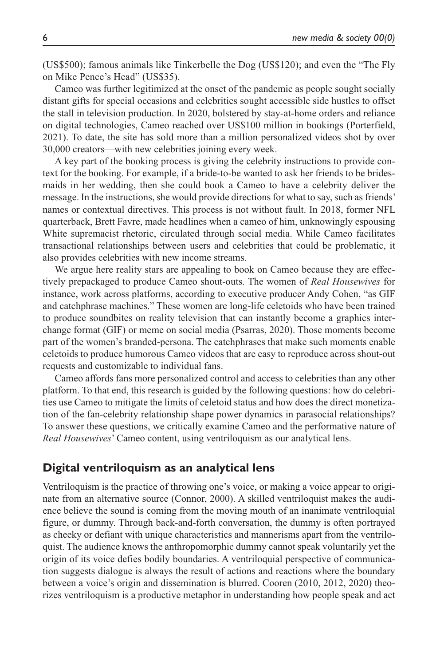(US\$500); famous animals like Tinkerbelle the Dog (US\$120); and even the "The Fly on Mike Pence's Head" (US\$35).

Cameo was further legitimized at the onset of the pandemic as people sought socially distant gifts for special occasions and celebrities sought accessible side hustles to offset the stall in television production. In 2020, bolstered by stay-at-home orders and reliance on digital technologies, Cameo reached over US\$100 million in bookings (Porterfield, 2021). To date, the site has sold more than a million personalized videos shot by over 30,000 creators—with new celebrities joining every week.

A key part of the booking process is giving the celebrity instructions to provide context for the booking. For example, if a bride-to-be wanted to ask her friends to be bridesmaids in her wedding, then she could book a Cameo to have a celebrity deliver the message. In the instructions, she would provide directions for what to say, such as friends' names or contextual directives. This process is not without fault. In 2018, former NFL quarterback, Brett Favre, made headlines when a cameo of him, unknowingly espousing White supremacist rhetoric, circulated through social media. While Cameo facilitates transactional relationships between users and celebrities that could be problematic, it also provides celebrities with new income streams.

We argue here reality stars are appealing to book on Cameo because they are effectively prepackaged to produce Cameo shout-outs. The women of *Real Housewives* for instance, work across platforms, according to executive producer Andy Cohen, "as GIF and catchphrase machines." These women are long-life celetoids who have been trained to produce soundbites on reality television that can instantly become a graphics interchange format (GIF) or meme on social media (Psarras, 2020). Those moments become part of the women's branded-persona. The catchphrases that make such moments enable celetoids to produce humorous Cameo videos that are easy to reproduce across shout-out requests and customizable to individual fans.

Cameo affords fans more personalized control and access to celebrities than any other platform. To that end, this research is guided by the following questions: how do celebrities use Cameo to mitigate the limits of celetoid status and how does the direct monetization of the fan-celebrity relationship shape power dynamics in parasocial relationships? To answer these questions, we critically examine Cameo and the performative nature of *Real Housewives*' Cameo content, using ventriloquism as our analytical lens.

## **Digital ventriloquism as an analytical lens**

Ventriloquism is the practice of throwing one's voice, or making a voice appear to originate from an alternative source (Connor, 2000). A skilled ventriloquist makes the audience believe the sound is coming from the moving mouth of an inanimate ventriloquial figure, or dummy. Through back-and-forth conversation, the dummy is often portrayed as cheeky or defiant with unique characteristics and mannerisms apart from the ventriloquist. The audience knows the anthropomorphic dummy cannot speak voluntarily yet the origin of its voice defies bodily boundaries. A ventriloquial perspective of communication suggests dialogue is always the result of actions and reactions where the boundary between a voice's origin and dissemination is blurred. Cooren (2010, 2012, 2020) theorizes ventriloquism is a productive metaphor in understanding how people speak and act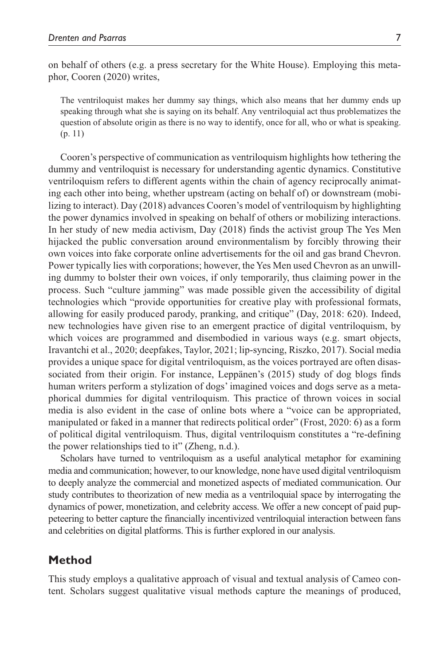on behalf of others (e.g. a press secretary for the White House). Employing this metaphor, Cooren (2020) writes,

The ventriloquist makes her dummy say things, which also means that her dummy ends up speaking through what she is saying on its behalf. Any ventriloquial act thus problematizes the question of absolute origin as there is no way to identify, once for all, who or what is speaking. (p. 11)

Cooren's perspective of communication as ventriloquism highlights how tethering the dummy and ventriloquist is necessary for understanding agentic dynamics. Constitutive ventriloquism refers to different agents within the chain of agency reciprocally animating each other into being, whether upstream (acting on behalf of) or downstream (mobilizing to interact). Day (2018) advances Cooren's model of ventriloquism by highlighting the power dynamics involved in speaking on behalf of others or mobilizing interactions. In her study of new media activism, Day (2018) finds the activist group The Yes Men hijacked the public conversation around environmentalism by forcibly throwing their own voices into fake corporate online advertisements for the oil and gas brand Chevron. Power typically lies with corporations; however, the Yes Men used Chevron as an unwilling dummy to bolster their own voices, if only temporarily, thus claiming power in the process. Such "culture jamming" was made possible given the accessibility of digital technologies which "provide opportunities for creative play with professional formats, allowing for easily produced parody, pranking, and critique" (Day, 2018: 620). Indeed, new technologies have given rise to an emergent practice of digital ventriloquism, by which voices are programmed and disembodied in various ways (e.g. smart objects, Iravantchi et al., 2020; deepfakes, Taylor, 2021; lip-syncing, Riszko, 2017). Social media provides a unique space for digital ventriloquism, as the voices portrayed are often disassociated from their origin. For instance, Leppänen's (2015) study of dog blogs finds human writers perform a stylization of dogs' imagined voices and dogs serve as a metaphorical dummies for digital ventriloquism. This practice of thrown voices in social media is also evident in the case of online bots where a "voice can be appropriated, manipulated or faked in a manner that redirects political order" (Frost, 2020: 6) as a form of political digital ventriloquism. Thus, digital ventriloquism constitutes a "re-defining the power relationships tied to it" (Zheng, n.d.).

Scholars have turned to ventriloquism as a useful analytical metaphor for examining media and communication; however, to our knowledge, none have used digital ventriloquism to deeply analyze the commercial and monetized aspects of mediated communication. Our study contributes to theorization of new media as a ventriloquial space by interrogating the dynamics of power, monetization, and celebrity access. We offer a new concept of paid puppeteering to better capture the financially incentivized ventriloquial interaction between fans and celebrities on digital platforms. This is further explored in our analysis.

# **Method**

This study employs a qualitative approach of visual and textual analysis of Cameo content. Scholars suggest qualitative visual methods capture the meanings of produced,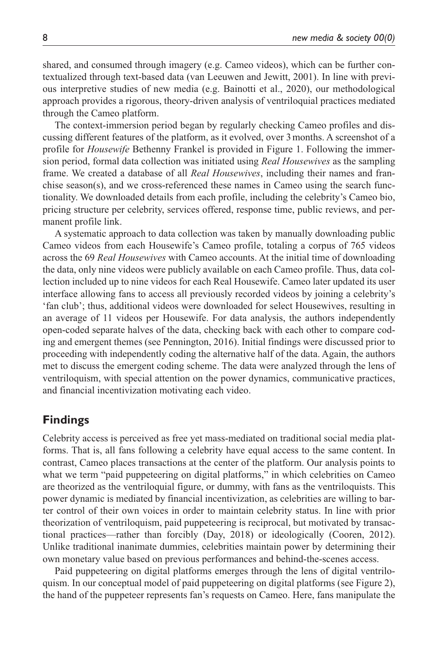shared, and consumed through imagery (e.g. Cameo videos), which can be further contextualized through text-based data (van Leeuwen and Jewitt, 2001). In line with previous interpretive studies of new media (e.g. Bainotti et al., 2020), our methodological approach provides a rigorous, theory-driven analysis of ventriloquial practices mediated through the Cameo platform.

The context-immersion period began by regularly checking Cameo profiles and discussing different features of the platform, as it evolved, over 3months. A screenshot of a profile for *Housewife* Bethenny Frankel is provided in Figure 1. Following the immersion period, formal data collection was initiated using *Real Housewives* as the sampling frame. We created a database of all *Real Housewives*, including their names and franchise season(s), and we cross-referenced these names in Cameo using the search functionality. We downloaded details from each profile, including the celebrity's Cameo bio, pricing structure per celebrity, services offered, response time, public reviews, and permanent profile link.

A systematic approach to data collection was taken by manually downloading public Cameo videos from each Housewife's Cameo profile, totaling a corpus of 765 videos across the 69 *Real Housewives* with Cameo accounts. At the initial time of downloading the data, only nine videos were publicly available on each Cameo profile. Thus, data collection included up to nine videos for each Real Housewife. Cameo later updated its user interface allowing fans to access all previously recorded videos by joining a celebrity's 'fan club'; thus, additional videos were downloaded for select Housewives, resulting in an average of 11 videos per Housewife. For data analysis, the authors independently open-coded separate halves of the data, checking back with each other to compare coding and emergent themes (see Pennington, 2016). Initial findings were discussed prior to proceeding with independently coding the alternative half of the data. Again, the authors met to discuss the emergent coding scheme. The data were analyzed through the lens of ventriloquism, with special attention on the power dynamics, communicative practices, and financial incentivization motivating each video.

## **Findings**

Celebrity access is perceived as free yet mass-mediated on traditional social media platforms. That is, all fans following a celebrity have equal access to the same content. In contrast, Cameo places transactions at the center of the platform. Our analysis points to what we term "paid puppeteering on digital platforms," in which celebrities on Cameo are theorized as the ventriloquial figure, or dummy, with fans as the ventriloquists. This power dynamic is mediated by financial incentivization, as celebrities are willing to barter control of their own voices in order to maintain celebrity status. In line with prior theorization of ventriloquism, paid puppeteering is reciprocal, but motivated by transactional practices—rather than forcibly (Day, 2018) or ideologically (Cooren, 2012). Unlike traditional inanimate dummies, celebrities maintain power by determining their own monetary value based on previous performances and behind-the-scenes access.

Paid puppeteering on digital platforms emerges through the lens of digital ventriloquism. In our conceptual model of paid puppeteering on digital platforms (see Figure 2), the hand of the puppeteer represents fan's requests on Cameo. Here, fans manipulate the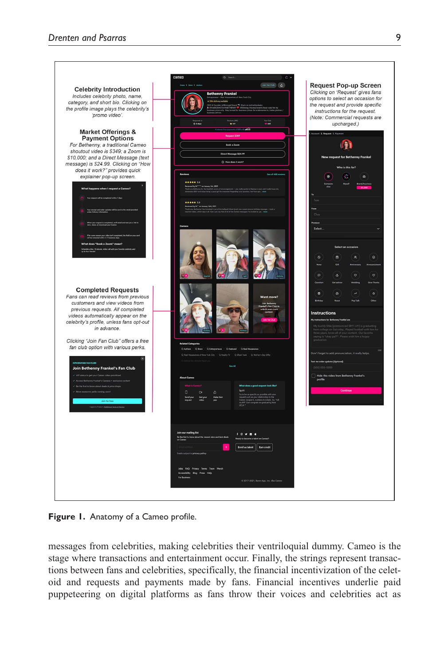

**Figure 1.** Anatomy of a Cameo profile.

messages from celebrities, making celebrities their ventriloquial dummy. Cameo is the stage where transactions and entertainment occur. Finally, the strings represent transactions between fans and celebrities, specifically, the financial incentivization of the celetoid and requests and payments made by fans. Financial incentives underlie paid puppeteering on digital platforms as fans throw their voices and celebrities act as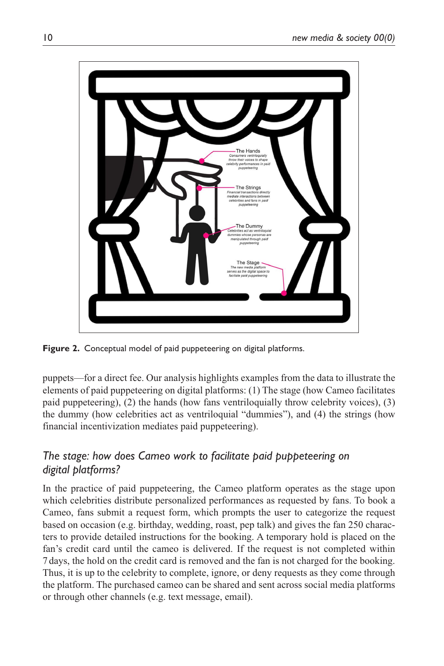

**Figure 2.** Conceptual model of paid puppeteering on digital platforms.

puppets—for a direct fee. Our analysis highlights examples from the data to illustrate the elements of paid puppeteering on digital platforms: (1) The stage (how Cameo facilitates paid puppeteering), (2) the hands (how fans ventriloquially throw celebrity voices), (3) the dummy (how celebrities act as ventriloquial "dummies"), and (4) the strings (how financial incentivization mediates paid puppeteering).

# *The stage: how does Cameo work to facilitate paid puppeteering on digital platforms?*

In the practice of paid puppeteering, the Cameo platform operates as the stage upon which celebrities distribute personalized performances as requested by fans. To book a Cameo, fans submit a request form, which prompts the user to categorize the request based on occasion (e.g. birthday, wedding, roast, pep talk) and gives the fan 250 characters to provide detailed instructions for the booking. A temporary hold is placed on the fan's credit card until the cameo is delivered. If the request is not completed within 7days, the hold on the credit card is removed and the fan is not charged for the booking. Thus, it is up to the celebrity to complete, ignore, or deny requests as they come through the platform. The purchased cameo can be shared and sent across social media platforms or through other channels (e.g. text message, email).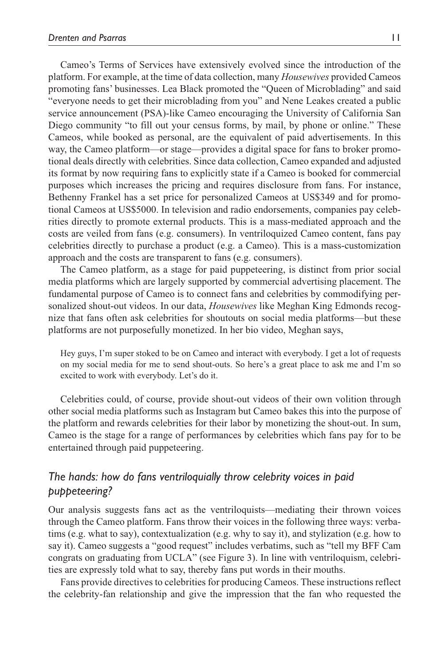Cameo's Terms of Services have extensively evolved since the introduction of the platform. For example, at the time of data collection, many *Housewives* provided Cameos promoting fans' businesses. Lea Black promoted the "Queen of Microblading" and said "everyone needs to get their microblading from you" and Nene Leakes created a public service announcement (PSA)-like Cameo encouraging the University of California San Diego community "to fill out your census forms, by mail, by phone or online." These Cameos, while booked as personal, are the equivalent of paid advertisements. In this way, the Cameo platform—or stage—provides a digital space for fans to broker promotional deals directly with celebrities. Since data collection, Cameo expanded and adjusted its format by now requiring fans to explicitly state if a Cameo is booked for commercial purposes which increases the pricing and requires disclosure from fans. For instance, Bethenny Frankel has a set price for personalized Cameos at US\$349 and for promotional Cameos at US\$5000. In television and radio endorsements, companies pay celebrities directly to promote external products. This is a mass-mediated approach and the costs are veiled from fans (e.g. consumers). In ventriloquized Cameo content, fans pay celebrities directly to purchase a product (e.g. a Cameo). This is a mass-customization approach and the costs are transparent to fans (e.g. consumers).

The Cameo platform, as a stage for paid puppeteering, is distinct from prior social media platforms which are largely supported by commercial advertising placement. The fundamental purpose of Cameo is to connect fans and celebrities by commodifying personalized shout-out videos. In our data, *Housewives* like Meghan King Edmonds recognize that fans often ask celebrities for shoutouts on social media platforms—but these platforms are not purposefully monetized. In her bio video, Meghan says,

Hey guys, I'm super stoked to be on Cameo and interact with everybody. I get a lot of requests on my social media for me to send shout-outs. So here's a great place to ask me and I'm so excited to work with everybody. Let's do it.

Celebrities could, of course, provide shout-out videos of their own volition through other social media platforms such as Instagram but Cameo bakes this into the purpose of the platform and rewards celebrities for their labor by monetizing the shout-out. In sum, Cameo is the stage for a range of performances by celebrities which fans pay for to be entertained through paid puppeteering.

# *The hands: how do fans ventriloquially throw celebrity voices in paid puppeteering?*

Our analysis suggests fans act as the ventriloquists—mediating their thrown voices through the Cameo platform. Fans throw their voices in the following three ways: verbatims (e.g. what to say), contextualization (e.g. why to say it), and stylization (e.g. how to say it). Cameo suggests a "good request" includes verbatims, such as "tell my BFF Cam congrats on graduating from UCLA" (see Figure 3). In line with ventriloquism, celebrities are expressly told what to say, thereby fans put words in their mouths.

Fans provide directives to celebrities for producing Cameos. These instructions reflect the celebrity-fan relationship and give the impression that the fan who requested the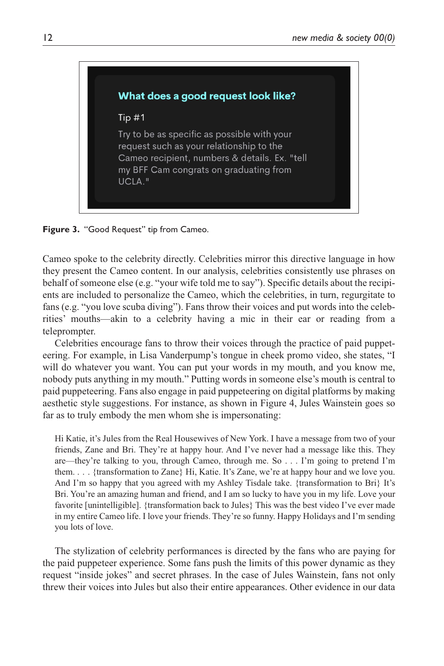

**Figure 3.** "Good Request" tip from Cameo.

Cameo spoke to the celebrity directly. Celebrities mirror this directive language in how they present the Cameo content. In our analysis, celebrities consistently use phrases on behalf of someone else (e.g. "your wife told me to say"). Specific details about the recipients are included to personalize the Cameo, which the celebrities, in turn, regurgitate to fans (e.g. "you love scuba diving"). Fans throw their voices and put words into the celebrities' mouths—akin to a celebrity having a mic in their ear or reading from a teleprompter.

Celebrities encourage fans to throw their voices through the practice of paid puppeteering. For example, in Lisa Vanderpump's tongue in cheek promo video, she states, "I will do whatever you want. You can put your words in my mouth, and you know me, nobody puts anything in my mouth." Putting words in someone else's mouth is central to paid puppeteering. Fans also engage in paid puppeteering on digital platforms by making aesthetic style suggestions. For instance, as shown in Figure 4, Jules Wainstein goes so far as to truly embody the men whom she is impersonating:

Hi Katie, it's Jules from the Real Housewives of New York. I have a message from two of your friends, Zane and Bri. They're at happy hour. And I've never had a message like this. They are—they're talking to you, through Cameo, through me. So . . . I'm going to pretend I'm them. . . . {transformation to Zane} Hi, Katie. It's Zane, we're at happy hour and we love you. And I'm so happy that you agreed with my Ashley Tisdale take. {transformation to Bri} It's Bri. You're an amazing human and friend, and I am so lucky to have you in my life. Love your favorite [unintelligible]. {transformation back to Jules} This was the best video I've ever made in my entire Cameo life. I love your friends. They're so funny. Happy Holidays and I'm sending you lots of love.

The stylization of celebrity performances is directed by the fans who are paying for the paid puppeteer experience. Some fans push the limits of this power dynamic as they request "inside jokes" and secret phrases. In the case of Jules Wainstein, fans not only threw their voices into Jules but also their entire appearances. Other evidence in our data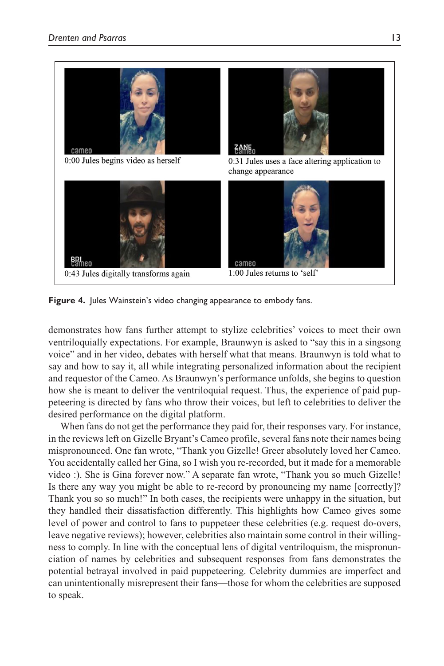

**Figure 4.** Jules Wainstein's video changing appearance to embody fans.

demonstrates how fans further attempt to stylize celebrities' voices to meet their own ventriloquially expectations. For example, Braunwyn is asked to "say this in a singsong voice" and in her video, debates with herself what that means. Braunwyn is told what to say and how to say it, all while integrating personalized information about the recipient and requestor of the Cameo. As Braunwyn's performance unfolds, she begins to question how she is meant to deliver the ventriloquial request. Thus, the experience of paid puppeteering is directed by fans who throw their voices, but left to celebrities to deliver the desired performance on the digital platform.

When fans do not get the performance they paid for, their responses vary. For instance, in the reviews left on Gizelle Bryant's Cameo profile, several fans note their names being mispronounced. One fan wrote, "Thank you Gizelle! Greer absolutely loved her Cameo. You accidentally called her Gina, so I wish you re-recorded, but it made for a memorable video :). She is Gina forever now." A separate fan wrote, "Thank you so much Gizelle! Is there any way you might be able to re-record by pronouncing my name [correctly]? Thank you so so much!" In both cases, the recipients were unhappy in the situation, but they handled their dissatisfaction differently. This highlights how Cameo gives some level of power and control to fans to puppeteer these celebrities (e.g. request do-overs, leave negative reviews); however, celebrities also maintain some control in their willingness to comply. In line with the conceptual lens of digital ventriloquism, the mispronunciation of names by celebrities and subsequent responses from fans demonstrates the potential betrayal involved in paid puppeteering. Celebrity dummies are imperfect and can unintentionally misrepresent their fans—those for whom the celebrities are supposed to speak.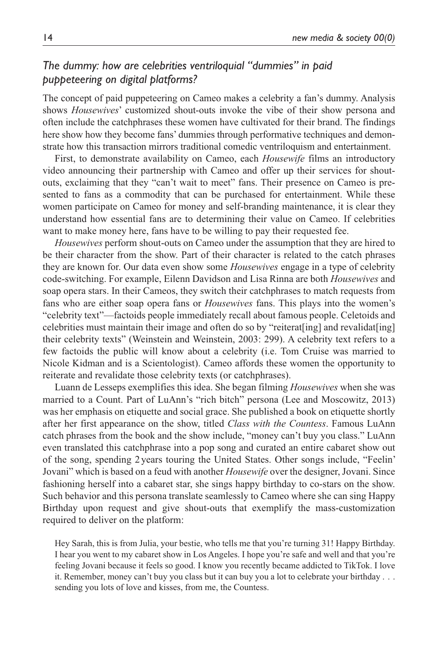# *The dummy: how are celebrities ventriloquial "dummies" in paid puppeteering on digital platforms?*

The concept of paid puppeteering on Cameo makes a celebrity a fan's dummy. Analysis shows *Housewives*' customized shout-outs invoke the vibe of their show persona and often include the catchphrases these women have cultivated for their brand. The findings here show how they become fans' dummies through performative techniques and demonstrate how this transaction mirrors traditional comedic ventriloquism and entertainment.

First, to demonstrate availability on Cameo, each *Housewife* films an introductory video announcing their partnership with Cameo and offer up their services for shoutouts, exclaiming that they "can't wait to meet" fans. Their presence on Cameo is presented to fans as a commodity that can be purchased for entertainment. While these women participate on Cameo for money and self-branding maintenance, it is clear they understand how essential fans are to determining their value on Cameo. If celebrities want to make money here, fans have to be willing to pay their requested fee.

*Housewives* perform shout-outs on Cameo under the assumption that they are hired to be their character from the show. Part of their character is related to the catch phrases they are known for. Our data even show some *Housewives* engage in a type of celebrity code-switching. For example, Eilenn Davidson and Lisa Rinna are both *Housewives* and soap opera stars. In their Cameos, they switch their catchphrases to match requests from fans who are either soap opera fans or *Housewives* fans. This plays into the women's "celebrity text"—factoids people immediately recall about famous people. Celetoids and celebrities must maintain their image and often do so by "reiterat[ing] and revalidat[ing] their celebrity texts" (Weinstein and Weinstein, 2003: 299). A celebrity text refers to a few factoids the public will know about a celebrity (i.e. Tom Cruise was married to Nicole Kidman and is a Scientologist). Cameo affords these women the opportunity to reiterate and revalidate those celebrity texts (or catchphrases).

Luann de Lesseps exemplifies this idea. She began filming *Housewives* when she was married to a Count. Part of LuAnn's "rich bitch" persona (Lee and Moscowitz, 2013) was her emphasis on etiquette and social grace. She published a book on etiquette shortly after her first appearance on the show, titled *Class with the Countess*. Famous LuAnn catch phrases from the book and the show include, "money can't buy you class." LuAnn even translated this catchphrase into a pop song and curated an entire cabaret show out of the song, spending 2years touring the United States. Other songs include, "Feelin' Jovani" which is based on a feud with another *Housewife* over the designer, Jovani. Since fashioning herself into a cabaret star, she sings happy birthday to co-stars on the show. Such behavior and this persona translate seamlessly to Cameo where she can sing Happy Birthday upon request and give shout-outs that exemplify the mass-customization required to deliver on the platform:

Hey Sarah, this is from Julia, your bestie, who tells me that you're turning 31! Happy Birthday. I hear you went to my cabaret show in Los Angeles. I hope you're safe and well and that you're feeling Jovani because it feels so good. I know you recently became addicted to TikTok. I love it. Remember, money can't buy you class but it can buy you a lot to celebrate your birthday . . . sending you lots of love and kisses, from me, the Countess.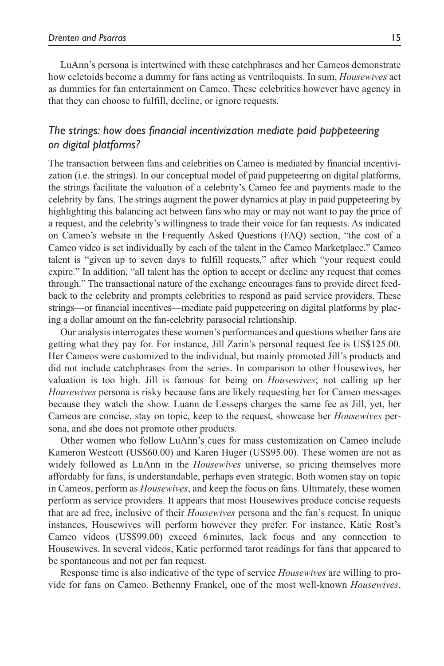LuAnn's persona is intertwined with these catchphrases and her Cameos demonstrate how celetoids become a dummy for fans acting as ventriloquists. In sum, *Housewives* act as dummies for fan entertainment on Cameo. These celebrities however have agency in that they can choose to fulfill, decline, or ignore requests.

## *The strings: how does financial incentivization mediate paid puppeteering on digital platforms?*

The transaction between fans and celebrities on Cameo is mediated by financial incentivization (i.e. the strings). In our conceptual model of paid puppeteering on digital platforms, the strings facilitate the valuation of a celebrity's Cameo fee and payments made to the celebrity by fans. The strings augment the power dynamics at play in paid puppeteering by highlighting this balancing act between fans who may or may not want to pay the price of a request, and the celebrity's willingness to trade their voice for fan requests. As indicated on Cameo's website in the Frequently Asked Questions (FAQ) section, "the cost of a Cameo video is set individually by each of the talent in the Cameo Marketplace." Cameo talent is "given up to seven days to fulfill requests," after which "your request could expire." In addition, "all talent has the option to accept or decline any request that comes through." The transactional nature of the exchange encourages fans to provide direct feedback to the celebrity and prompts celebrities to respond as paid service providers. These strings—or financial incentives—mediate paid puppeteering on digital platforms by placing a dollar amount on the fan-celebrity parasocial relationship.

Our analysis interrogates these women's performances and questions whether fans are getting what they pay for. For instance, Jill Zarin's personal request fee is US\$125.00. Her Cameos were customized to the individual, but mainly promoted Jill's products and did not include catchphrases from the series. In comparison to other Housewives, her valuation is too high. Jill is famous for being on *Housewives*; not calling up her *Housewives* persona is risky because fans are likely requesting her for Cameo messages because they watch the show. Luann de Lesseps charges the same fee as Jill, yet, her Cameos are concise, stay on topic, keep to the request, showcase her *Housewives* persona, and she does not promote other products.

Other women who follow LuAnn's cues for mass customization on Cameo include Kameron Westcott (US\$60.00) and Karen Huger (US\$95.00). These women are not as widely followed as LuAnn in the *Housewives* universe, so pricing themselves more affordably for fans, is understandable, perhaps even strategic. Both women stay on topic in Cameos, perform as *Housewives*, and keep the focus on fans. Ultimately, these women perform as service providers. It appears that most Housewives produce concise requests that are ad free, inclusive of their *Housewives* persona and the fan's request. In unique instances, Housewives will perform however they prefer. For instance, Katie Rost's Cameo videos (US\$99.00) exceed 6minutes, lack focus and any connection to Housewives. In several videos, Katie performed tarot readings for fans that appeared to be spontaneous and not per fan request.

Response time is also indicative of the type of service *Housewives* are willing to provide for fans on Cameo. Bethenny Frankel, one of the most well-known *Housewives*,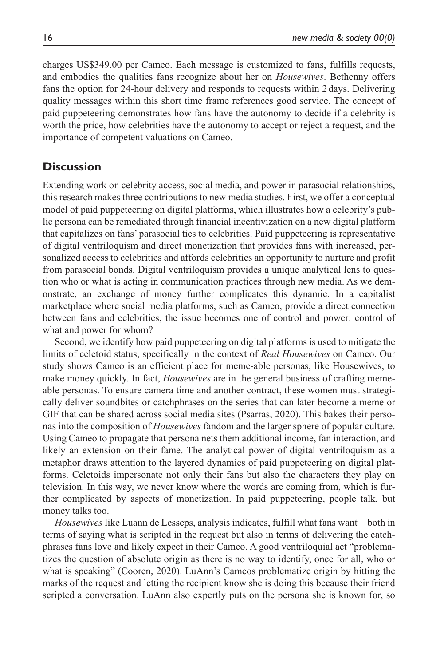charges US\$349.00 per Cameo. Each message is customized to fans, fulfills requests, and embodies the qualities fans recognize about her on *Housewives*. Bethenny offers fans the option for 24-hour delivery and responds to requests within 2days. Delivering quality messages within this short time frame references good service. The concept of paid puppeteering demonstrates how fans have the autonomy to decide if a celebrity is worth the price, how celebrities have the autonomy to accept or reject a request, and the importance of competent valuations on Cameo.

# **Discussion**

Extending work on celebrity access, social media, and power in parasocial relationships, this research makes three contributions to new media studies. First, we offer a conceptual model of paid puppeteering on digital platforms, which illustrates how a celebrity's public persona can be remediated through financial incentivization on a new digital platform that capitalizes on fans' parasocial ties to celebrities. Paid puppeteering is representative of digital ventriloquism and direct monetization that provides fans with increased, personalized access to celebrities and affords celebrities an opportunity to nurture and profit from parasocial bonds. Digital ventriloquism provides a unique analytical lens to question who or what is acting in communication practices through new media. As we demonstrate, an exchange of money further complicates this dynamic. In a capitalist marketplace where social media platforms, such as Cameo, provide a direct connection between fans and celebrities, the issue becomes one of control and power: control of what and power for whom?

Second, we identify how paid puppeteering on digital platforms is used to mitigate the limits of celetoid status, specifically in the context of *Real Housewives* on Cameo. Our study shows Cameo is an efficient place for meme-able personas, like Housewives, to make money quickly. In fact, *Housewives* are in the general business of crafting memeable personas. To ensure camera time and another contract, these women must strategically deliver soundbites or catchphrases on the series that can later become a meme or GIF that can be shared across social media sites (Psarras, 2020). This bakes their personas into the composition of *Housewives* fandom and the larger sphere of popular culture. Using Cameo to propagate that persona nets them additional income, fan interaction, and likely an extension on their fame. The analytical power of digital ventriloquism as a metaphor draws attention to the layered dynamics of paid puppeteering on digital platforms. Celetoids impersonate not only their fans but also the characters they play on television. In this way, we never know where the words are coming from, which is further complicated by aspects of monetization. In paid puppeteering, people talk, but money talks too.

*Housewives* like Luann de Lesseps, analysis indicates, fulfill what fans want—both in terms of saying what is scripted in the request but also in terms of delivering the catchphrases fans love and likely expect in their Cameo. A good ventriloquial act "problematizes the question of absolute origin as there is no way to identify, once for all, who or what is speaking" (Cooren, 2020). LuAnn's Cameos problematize origin by hitting the marks of the request and letting the recipient know she is doing this because their friend scripted a conversation. LuAnn also expertly puts on the persona she is known for, so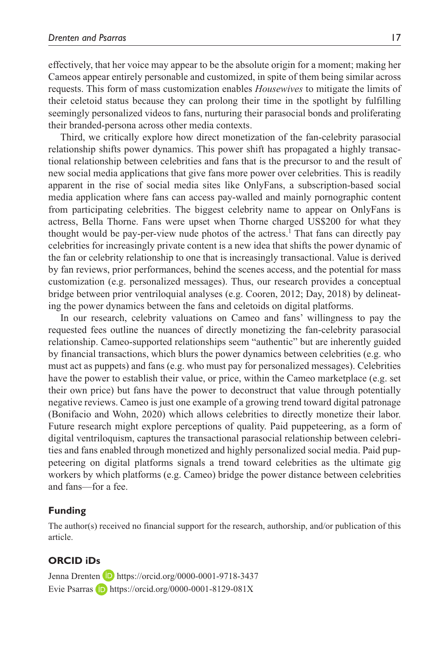effectively, that her voice may appear to be the absolute origin for a moment; making her Cameos appear entirely personable and customized, in spite of them being similar across requests. This form of mass customization enables *Housewives* to mitigate the limits of their celetoid status because they can prolong their time in the spotlight by fulfilling seemingly personalized videos to fans, nurturing their parasocial bonds and proliferating their branded-persona across other media contexts.

Third, we critically explore how direct monetization of the fan-celebrity parasocial relationship shifts power dynamics. This power shift has propagated a highly transactional relationship between celebrities and fans that is the precursor to and the result of new social media applications that give fans more power over celebrities. This is readily apparent in the rise of social media sites like OnlyFans, a subscription-based social media application where fans can access pay-walled and mainly pornographic content from participating celebrities. The biggest celebrity name to appear on OnlyFans is actress, Bella Thorne. Fans were upset when Thorne charged US\$200 for what they thought would be pay-per-view nude photos of the actress.<sup>1</sup> That fans can directly pay celebrities for increasingly private content is a new idea that shifts the power dynamic of the fan or celebrity relationship to one that is increasingly transactional. Value is derived by fan reviews, prior performances, behind the scenes access, and the potential for mass customization (e.g. personalized messages). Thus, our research provides a conceptual bridge between prior ventriloquial analyses (e.g. Cooren, 2012; Day, 2018) by delineating the power dynamics between the fans and celetoids on digital platforms.

In our research, celebrity valuations on Cameo and fans' willingness to pay the requested fees outline the nuances of directly monetizing the fan-celebrity parasocial relationship. Cameo-supported relationships seem "authentic" but are inherently guided by financial transactions, which blurs the power dynamics between celebrities (e.g. who must act as puppets) and fans (e.g. who must pay for personalized messages). Celebrities have the power to establish their value, or price, within the Cameo marketplace (e.g. set their own price) but fans have the power to deconstruct that value through potentially negative reviews. Cameo is just one example of a growing trend toward digital patronage (Bonifacio and Wohn, 2020) which allows celebrities to directly monetize their labor. Future research might explore perceptions of quality. Paid puppeteering, as a form of digital ventriloquism, captures the transactional parasocial relationship between celebrities and fans enabled through monetized and highly personalized social media. Paid puppeteering on digital platforms signals a trend toward celebrities as the ultimate gig workers by which platforms (e.g. Cameo) bridge the power distance between celebrities and fans—for a fee.

### **Funding**

The author(s) received no financial support for the research, authorship, and/or publication of this article.

## **ORCID iDs**

Jenna Drenten **D** <https://orcid.org/0000-0001-9718-3437> Evie Psarras  $\Box$  <https://orcid.org/0000-0001-8129-081X>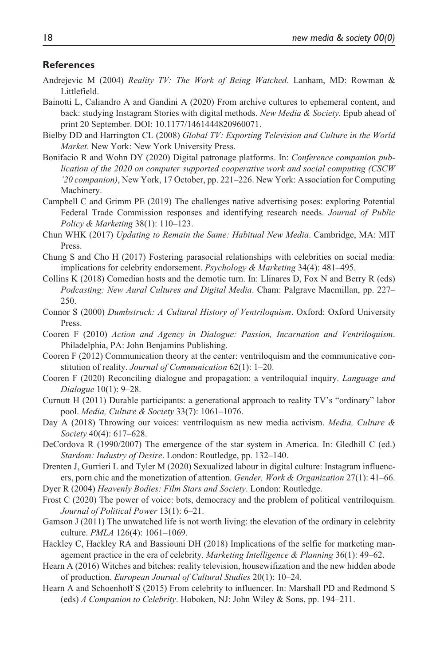#### **References**

- Andrejevic M (2004) *Reality TV: The Work of Being Watched*. Lanham, MD: Rowman & Littlefield.
- Bainotti L, Caliandro A and Gandini A (2020) From archive cultures to ephemeral content, and back: studying Instagram Stories with digital methods. *New Media & Society*. Epub ahead of print 20 September. DOI: 10.1177/1461444820960071.
- Bielby DD and Harrington CL (2008) *Global TV: Exporting Television and Culture in the World Market*. New York: New York University Press.
- Bonifacio R and Wohn DY (2020) Digital patronage platforms. In: *Conference companion publication of the 2020 on computer supported cooperative work and social computing (CSCW '20 companion)*, New York, 17 October, pp. 221–226. New York: Association for Computing Machinery.
- Campbell C and Grimm PE (2019) The challenges native advertising poses: exploring Potential Federal Trade Commission responses and identifying research needs. *Journal of Public Policy & Marketing* 38(1): 110–123.
- Chun WHK (2017) *Updating to Remain the Same: Habitual New Media*. Cambridge, MA: MIT Press.
- Chung S and Cho H (2017) Fostering parasocial relationships with celebrities on social media: implications for celebrity endorsement. *Psychology & Marketing* 34(4): 481–495.
- Collins K (2018) Comedian hosts and the demotic turn. In: Llinares D, Fox N and Berry R (eds) *Podcasting: New Aural Cultures and Digital Media*. Cham: Palgrave Macmillan, pp. 227– 250.
- Connor S (2000) *Dumbstruck: A Cultural History of Ventriloquism*. Oxford: Oxford University Press.
- Cooren F (2010) *Action and Agency in Dialogue: Passion, Incarnation and Ventriloquism*. Philadelphia, PA: John Benjamins Publishing.
- Cooren F (2012) Communication theory at the center: ventriloquism and the communicative constitution of reality. *Journal of Communication* 62(1): 1–20.
- Cooren F (2020) Reconciling dialogue and propagation: a ventriloquial inquiry. *Language and Dialogue* 10(1): 9–28.
- Curnutt H (2011) Durable participants: a generational approach to reality TV's "ordinary" labor pool. *Media, Culture & Society* 33(7): 1061–1076.
- Day A (2018) Throwing our voices: ventriloquism as new media activism. *Media, Culture & Society* 40(4): 617–628.
- DeCordova R (1990/2007) The emergence of the star system in America. In: Gledhill C (ed.) *Stardom: Industry of Desire*. London: Routledge, pp. 132–140.
- Drenten J, Gurrieri L and Tyler M (2020) Sexualized labour in digital culture: Instagram influencers, porn chic and the monetization of attention. *Gender, Work & Organization* 27(1): 41–66.

Dyer R (2004) *Heavenly Bodies: Film Stars and Society*. London: Routledge.

- Frost C (2020) The power of voice: bots, democracy and the problem of political ventriloquism. *Journal of Political Power* 13(1): 6–21.
- Gamson J (2011) The unwatched life is not worth living: the elevation of the ordinary in celebrity culture. *PMLA* 126(4): 1061–1069.
- Hackley C, Hackley RA and Bassiouni DH (2018) Implications of the selfie for marketing management practice in the era of celebrity. *Marketing Intelligence & Planning* 36(1): 49–62.
- Hearn A (2016) Witches and bitches: reality television, housewifization and the new hidden abode of production. *European Journal of Cultural Studies* 20(1): 10–24.
- Hearn A and Schoenhoff S (2015) From celebrity to influencer. In: Marshall PD and Redmond S (eds) *A Companion to Celebrity*. Hoboken, NJ: John Wiley & Sons, pp. 194–211.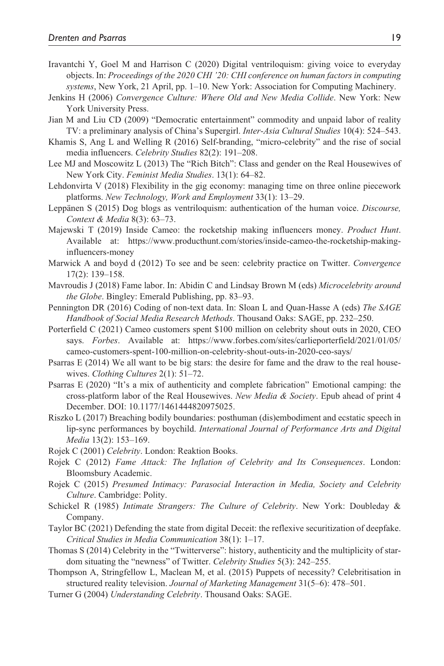- Iravantchi Y, Goel M and Harrison C (2020) Digital ventriloquism: giving voice to everyday objects. In: *Proceedings of the 2020 CHI '20: CHI conference on human factors in computing systems*, New York, 21 April, pp. 1–10. New York: Association for Computing Machinery.
- Jenkins H (2006) *Convergence Culture: Where Old and New Media Collide*. New York: New York University Press.
- Jian M and Liu CD (2009) "Democratic entertainment" commodity and unpaid labor of reality TV: a preliminary analysis of China's Supergirl. *Inter-Asia Cultural Studies* 10(4): 524–543.
- Khamis S, Ang L and Welling R (2016) Self-branding, "micro-celebrity" and the rise of social media influencers. *Celebrity Studies* 82(2): 191–208.
- Lee MJ and Moscowitz L (2013) The "Rich Bitch": Class and gender on the Real Housewives of New York City. *Feminist Media Studies*. 13(1): 64–82.
- Lehdonvirta V (2018) Flexibility in the gig economy: managing time on three online piecework platforms. *New Technology, Work and Employment* 33(1): 13–29.
- Leppänen S (2015) Dog blogs as ventriloquism: authentication of the human voice. *Discourse, Context & Media* 8(3): 63–73.
- Majewski T (2019) Inside Cameo: the rocketship making influencers money. *Product Hunt*. Available at: [https://www.producthunt.com/stories/inside-cameo-the-rocketship-making](https://www.producthunt.com/stories/inside-cameo-the-rocketship-making-influencers-money)[influencers-money](https://www.producthunt.com/stories/inside-cameo-the-rocketship-making-influencers-money)
- Marwick A and boyd d (2012) To see and be seen: celebrity practice on Twitter. *Convergence* 17(2): 139–158.
- Mavroudis J (2018) Fame labor. In: Abidin C and Lindsay Brown M (eds) *Microcelebrity around the Globe*. Bingley: Emerald Publishing, pp. 83–93.
- Pennington DR (2016) Coding of non-text data. In: Sloan L and Quan-Hasse A (eds) *The SAGE Handbook of Social Media Research Methods*. Thousand Oaks: SAGE, pp. 232–250.
- Porterfield C (2021) Cameo customers spent \$100 million on celebrity shout outs in 2020, CEO says. *Forbes*. Available at: [https://www.forbes.com/sites/carlieporterfield/2021/01/05/](https://www.forbes.com/sites/carlieporterfield/2021/01/05/cameo-customers-spent-100-million-on-celebrity-shout-outs-in-2020-ceo-says/) [cameo-customers-spent-100-million-on-celebrity-shout-outs-in-2020-ceo-says/](https://www.forbes.com/sites/carlieporterfield/2021/01/05/cameo-customers-spent-100-million-on-celebrity-shout-outs-in-2020-ceo-says/)
- Psarras E (2014) We all want to be big stars: the desire for fame and the draw to the real housewives. *Clothing Cultures* 2(1): 51–72.
- Psarras E (2020) "It's a mix of authenticity and complete fabrication" Emotional camping: the cross-platform labor of the Real Housewives. *New Media & Society*. Epub ahead of print 4 December. DOI: 10.1177/1461444820975025.
- Riszko L (2017) Breaching bodily boundaries: posthuman (dis)embodiment and ecstatic speech in lip-sync performances by boychild. *International Journal of Performance Arts and Digital Media* 13(2): 153–169.
- Rojek C (2001) *Celebrity*. London: Reaktion Books.
- Rojek C (2012) *Fame Attack: The Inflation of Celebrity and Its Consequences*. London: Bloomsbury Academic.
- Rojek C (2015) *Presumed Intimacy: Parasocial Interaction in Media, Society and Celebrity Culture*. Cambridge: Polity.
- Schickel R (1985) *Intimate Strangers: The Culture of Celebrity*. New York: Doubleday & Company.
- Taylor BC (2021) Defending the state from digital Deceit: the reflexive securitization of deepfake. *Critical Studies in Media Communication* 38(1): 1–17.
- Thomas S (2014) Celebrity in the "Twitterverse": history, authenticity and the multiplicity of stardom situating the "newness" of Twitter. *Celebrity Studies* 5(3): 242–255.
- Thompson A, Stringfellow L, Maclean M, et al. (2015) Puppets of necessity? Celebritisation in structured reality television. *Journal of Marketing Management* 31(5–6): 478–501.
- Turner G (2004) *Understanding Celebrity*. Thousand Oaks: SAGE.